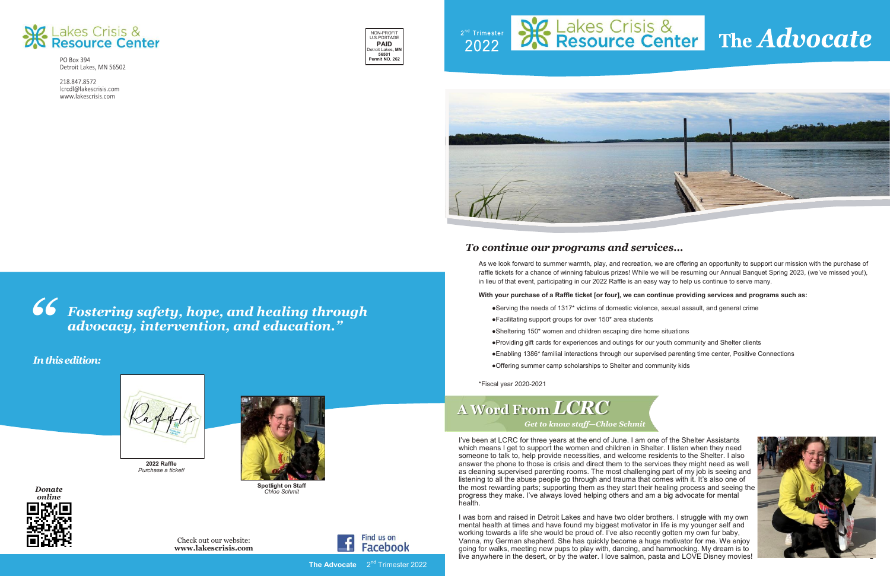

PO Box 394 Detroit Lakes, MN 56502

218.847.8572 lcrcdl@lakescrisis.com www.lakescrisis.com



### *To continue our programs and services…*

As we look forward to summer warmth, play, and recreation, we are offering an opportunity to support our mission with the purchase of raffle tickets for a chance of winning fabulous prizes! While we will be resuming our Annual Banquet Spring 2023, (we've missed you!), in lieu of that event, participating in our 2022 Raffle is an easy way to help us continue to serve many.

### **With your purchase of a Raffle ticket [or four], we can continue providing services and programs such as:**

●Serving the needs of 1317\* victims of domestic violence, sexual assault, and general crime ●Facilitating support groups for over 150\* area students ●Sheltering 150\* women and children escaping dire home situations ●Providing gift cards for experiences and outings for our youth community and Shelter clients ●Enabling 1386\* familial interactions through our supervised parenting time center, Positive Connections ●Offering summer camp scholarships to Shelter and community kids

\*Fiscal year 2020-2021

*Fostering safety, hope, and healing through " advocacy, intervention, and education."* 



*Donate* 

- 
- 
- 
- 



*4 online*







### *In this edition:*



Check out our website: **www.lakescrisis.com**

**2022 Raffle** *Purchase a ticket!*



*Chloe Schmit*



I've been at LCRC for three years at the end of June. I am one of the Shelter Assistants which means I get to support the women and children in Shelter. I listen when they need someone to talk to, help provide necessities, and welcome residents to the Shelter. I also answer the phone to those is crisis and direct them to the services they might need as well as cleaning supervised parenting rooms. The most challenging part of my job is seeing and listening to all the abuse people go through and trauma that comes with it. It's also one of the most rewarding parts; supporting them as they start their healing process and seeing the progress they make. I've always loved helping others and am a big advocate for mental health.

## **A Word From** *LCRC Get to know staff—Chloe Schmit*

I was born and raised in Detroit Lakes and have two older brothers. I struggle with my own mental health at times and have found my biggest motivator in life is my younger self and working towards a life she would be proud of. I've also recently gotten my own fur baby, Vanna, my German shepherd. She has quickly become a huge motivator for me. We enjoy going for walks, meeting new pups to play with, dancing, and hammocking. My dream is to live anywhere in the desert, or by the water. I love salmon, pasta and LOVE Disney movies!